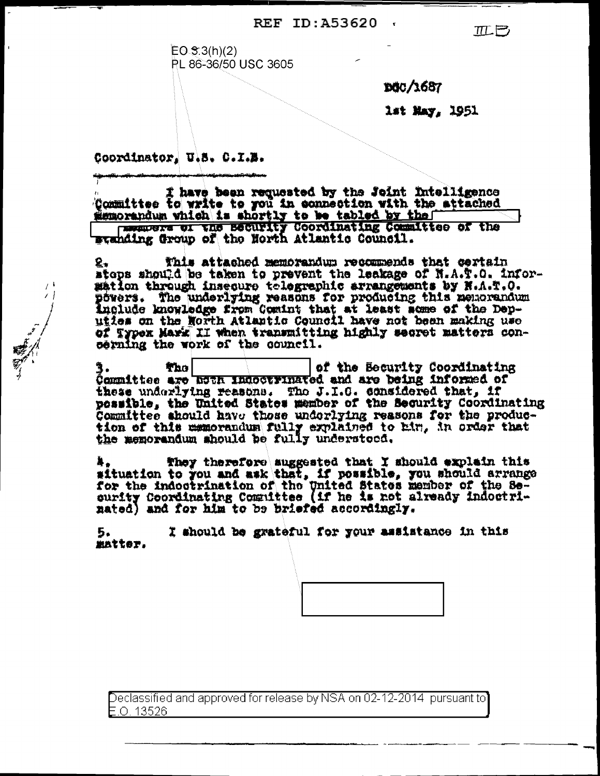REF ID: A53620

 $EO 3( h)(2)$ PL 86-36/50 USC 3605

**BÖC/1687** 

1st May, 1951

 $\pi \mapsto$ 

Coordinator, U.S. C.I.B.

 $\overline{I}$ 

I have been requested by the Joint Intelligence Committee to write to you in connection with the attached semorandum which is shortly to be tabled by the the community of the security coordinating Committee of the

This attached memorandum recommends that certain stops should be taken to prevent the leakage of N.A.T.O. Infor-<br>sation through insecure telegraphic arrangements by N.A.T.O. powers. The underlying reasons for producing this neutrandum<br>include knowledge from Comint that at least some of the Dep-<br>uties on the North Atlantic Council have not been making use of Typex Mark II when transmitting highly secret matters concerning the work of the council.

of the Becurity Coordinating The | 3. The state of the security coordinately these underlying reasons. The J.I.C. considered that, if possible, the United States member of the Security Coordinating Committee should have those underlying reasons for the production of this memorandum fully explained to him, in order that the memorandum should be fully understood.

They therefore suggested that I should explain this Ą. situation to you and ask that, if possible, you should arrange<br>for the indootrination of the United States member of the Se-<br>ourity Coordinating Committee (if he is not already indootri-<br>nated) and for him to be briefed ac

5. I should be grateful for your assistance in this matter.

Declassified and approved for release by NSA on 02-12-2014 pursuant to F O 13526.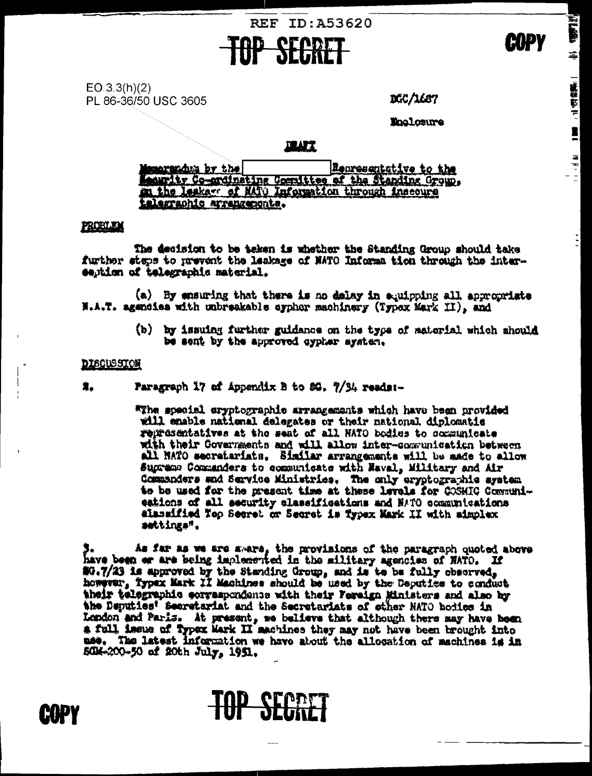

 $EO(3.3(h)(2))$ PL 86-36/50 USC 3605

DGC/1687

**The Little** 

후

星です

**Englorure** 

## **ILUTI**

Representative to the marandum by the seurity Co-ordinating Committee of the Standing Crown. talegraphic arrangements.

### **PROBLEM**

The decision to be taken is whether the Standing Group should take further steps to prevent the leakage of NATO Informa tion through the intersention of telegraphic material.

(a) By ensuring that there is no delay in equipping all appropriate H.A.T. agencies with unbreakable oyphor machinery (Typex Mark II), and

> (b) by issuing further guidance on the type of satorial which should be sent by the approved cypher system.

#### **DISCUSSION**

Faragraph 17 of Appendix B to 80. 7/34 reads:-奠。

> "The special cryptographic arrangements which have been provided will emable national delegates or their national diplomatic representatives at the seat of all HATO bodies to communicate with their Governments and will allow inter-communication between all NATO secratariats. Similar arrangements will be made to allow Supremo Commanders to communicate with Naval, Military and Air Commanders and Service Ministries. The only eryptographic system to be used for the present time at these levels for COSMIC Communieations of all security classifications and NATO communications alanaified Nop Secret or Secret is Typex Mark II with aimplex settings".

3. As far as we are aware, the provisions of the paragraph quoted above have been or are being implemented in the military agencies of NATO. If #0.7/23 is approved by the Standing Group, and is to be fully chaorved, however, Typex Mark II Machines should be used by the Deputies to conduct their telegraphic serraspondence with their Fereign Ministers and also by the Deputies' Secretariat and the Secretariats of other NATO hodies in Lendon and Paris. At present, we believe that although there may have been a full issue of typex Mark II machines they may not have been brought into use. The latest information we have about the allocation of machines is in SCH-200-50 of 20th July, 1951.

**TOP SECRET** 

EUPY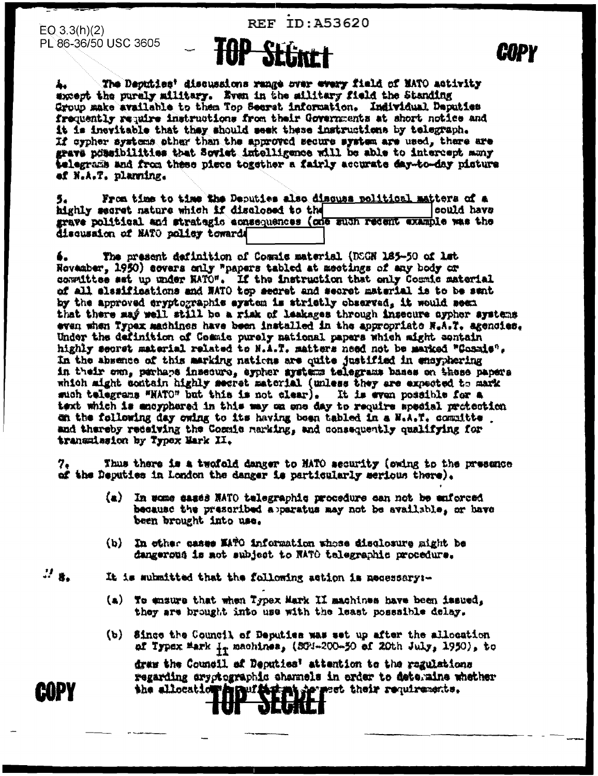**REF ID: A53620** 

 $EO(3.3(h)(2))$ PL 86-36/50 USC 3605

The Deputies' discussions range over every field of MATO activity except the purely military. Even in the military field the Standing Group make available to them Top Secret information. Individual Deputies frequently require instructions from their Governments at short notice and it is inevitable that they should seek these instructions by telegraph. If cypher systems other than the approved secure system are used, there are grave possibilities that Soviet intelligence will be able to intercept many telegrams and from these piece together a fairly accurate day-to-day pisture ef N.A.T. planning.

From time to time the Deputies also disques political matters of a highly secret nature which if disclosed to the could have grave political and strategic acneequences (one such recent example was the discussion of MATO policy towards

The present definition of Cosule material (DCGN 185-50 of lat 6. November, 1950) covers only "papers tabled at meetings of any body or constitute ast up under NATO". If the instruction that only Cosmic material of all elesifications and NATO top secret and secret material is to be sant by the approved cryptographic system is strictly observed, it would seem that there may well still be a rimk of leakages through insecure ayphor systems even when Typex machines have been installed in the appropriate N.A.T. agencies. Under the definition of Commis purely mational papers which might sentain highly secret material related to H.A.T. matters need not be marked "Cosmie". In the absence of this marking nations are quite justified in ensyphering in their own, perhaps insecure, eypher gystems telegrams bases on these papers which aight contain highly secret material (unless they are expected to mark such telegrams "NATO" but this is not clear). It is even possible for a text which is anoyphered in this way on one day to require special protection on the following day owing to its having been tabled in a N.A.T. committe . and thereby redsiving the Cosmic marking, and consequently qualifying for transmission by Typex Mark II.

7. Thus there is a twofold danger to HATO security (owing to the presence of the Deputies in London the danger is particularly serious there).

- (a) In wome sases NATO telegraphic procedure can not be enforced because the prescribed apparatus may not be available, or have been brought into use.
- (b) In other cases MATO information whose disclosure might be dangerous is not subject to NATO telegraphic procedure.

 $\mathcal{D}_{\mathbf{3}_2}$ It is submitted that the following action is necessary:-

- (a) To ensure that when Typex Mark II machines have been issued, they are brought into use with the least possaible delay.
- (b) Since the Council of Deputies was set up after the allocation af Typex Mark <sub>11</sub> machines, (SCH-200-50 af 20th July, 1950), to

draw the Council af Deputies' attention to the regulations regarding cryptographic shannels in erder to deteraine whether the allocation highlighting he set their requirements.

**COPY**